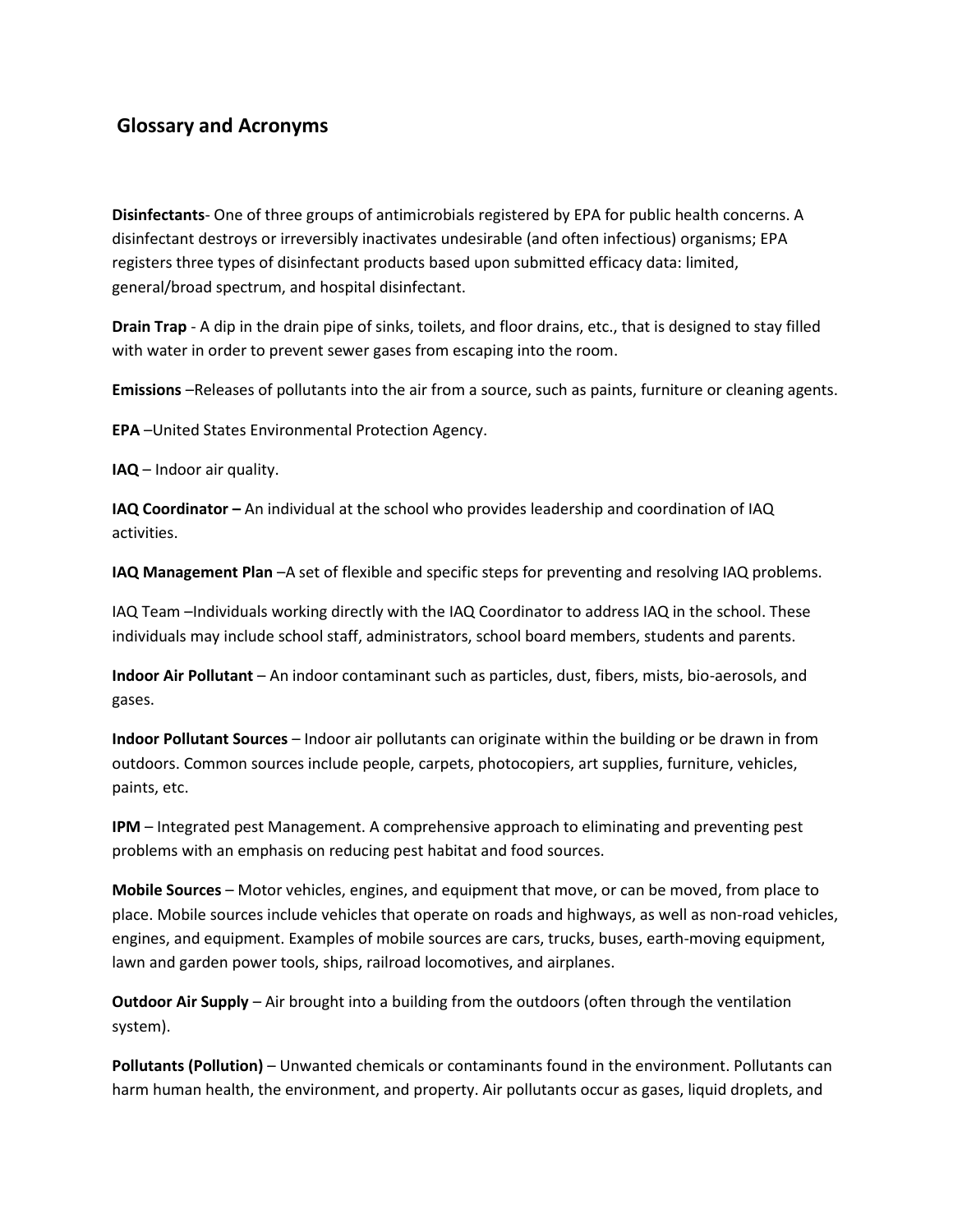## **Glossary and Acronyms**

**Disinfectants**- One of three groups of antimicrobials registered by EPA for public health concerns. A disinfectant destroys or irreversibly inactivates undesirable (and often infectious) organisms; EPA registers three types of disinfectant products based upon submitted efficacy data: limited, general/broad spectrum, and hospital disinfectant.

**Drain Trap** - A dip in the drain pipe of sinks, toilets, and floor drains, etc., that is designed to stay filled with water in order to prevent sewer gases from escaping into the room.

**Emissions** –Releases of pollutants into the air from a source, such as paints, furniture or cleaning agents.

**EPA** –United States Environmental Protection Agency.

**IAQ** – Indoor air quality.

**IAQ Coordinator** – An individual at the school who provides leadership and coordination of IAQ activities.

**IAQ Management Plan** –A set of flexible and specific steps for preventing and resolving IAQ problems.

IAQ Team –Individuals working directly with the IAQ Coordinator to address IAQ in the school. These individuals may include school staff, administrators, school board members, students and parents.

**Indoor Air Pollutant** – An indoor contaminant such as particles, dust, fibers, mists, bio-aerosols, and gases.

**Indoor Pollutant Sources** – Indoor air pollutants can originate within the building or be drawn in from outdoors. Common sources include people, carpets, photocopiers, art supplies, furniture, vehicles, paints, etc.

**IPM** – Integrated pest Management. A comprehensive approach to eliminating and preventing pest problems with an emphasis on reducing pest habitat and food sources.

**Mobile Sources** – Motor vehicles, engines, and equipment that move, or can be moved, from place to place. Mobile sources include vehicles that operate on roads and highways, as well as non-road vehicles, engines, and equipment. Examples of mobile sources are cars, trucks, buses, earth-moving equipment, lawn and garden power tools, ships, railroad locomotives, and airplanes.

**Outdoor Air Supply** – Air brought into a building from the outdoors (often through the ventilation system).

**Pollutants (Pollution)** – Unwanted chemicals or contaminants found in the environment. Pollutants can harm human health, the environment, and property. Air pollutants occur as gases, liquid droplets, and